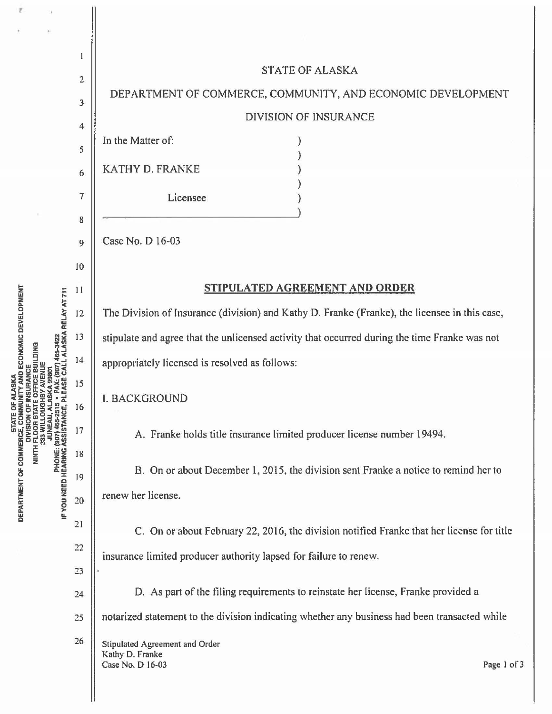$\mathbf{I}$ **STATE OF ALASKA**  $\overline{2}$ DEPARTMENT OF COMMERCE, COMMUNITY, AND ECONOMIC DEVELOPMENT  $\overline{\mathbf{3}}$ **DIVISION OF INSURANCE**  $\overline{\mathbf{4}}$ In the Matter of:  $\lambda$ 5  $\lambda$ **KATHY D. FRANKE** ١ 6  $\overline{7}$ Licensee 8 Case No. D 16-03  $\overline{9}$ 10 STIPULATED AGREEMENT AND ORDER  $11$ The Division of Insurance (division) and Kathy D. Franke (Franke), the licensee in this case, 12 13 stipulate and agree that the unlicensed activity that occurred during the time Franke was not  $14$ appropriately licensed is resolved as follows: 15 **I. BACKGROUND** 16 17 A. Franke holds title insurance limited producer license number 19494. 18 B. On or about December 1, 2015, the division sent Franke a notice to remind her to 19 renew her license. 20  $21$ C. On or about February 22, 2016, the division notified Franke that her license for title  $22$ insurance limited producer authority lapsed for failure to renew. 23 D. As part of the filing requirements to reinstate her license, Franke provided a  $24$ notarized statement to the division indicating whether any business had been transacted while 25 26 Stipulated Agreement and Order Kathy D. Franke Case No. D 16-03

STATE OF COMMERCE, COMMUNITY AND ECONOMIC DEVELOPMENT<br>DEPARTMENT OF COMMERCE, COMMUNITY AND ECONOMIC DEVELOPMENT JUNEAU, ALASKA 99801<br>PHONE: (907) 465-2515 • FAX: (907) 465-3422<br>IF YOU NEED HEARING ASSISTANCE, PLEASE CALL ALASKA RELAY AT 711 DIVISION OF INSURANCE<br>NINTH FLOOR STATE OFFICE BUILDING<br>333 WILLOUGHBY AVENUE

Page 1 of 3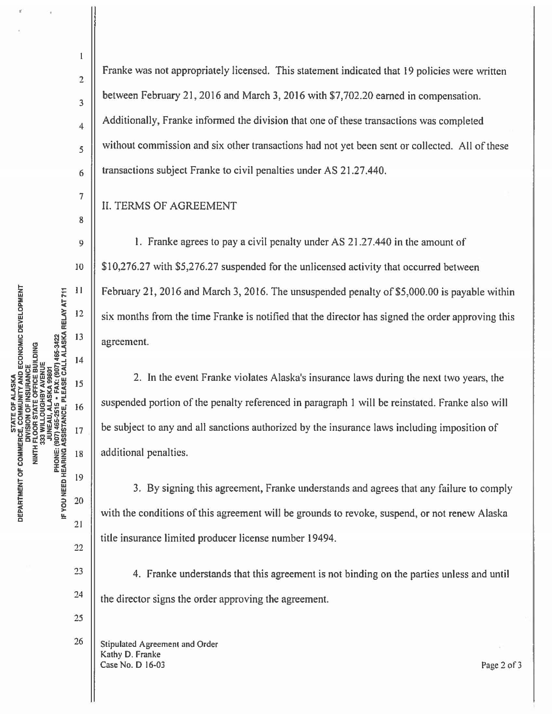2

 $\overline{1}$ 

3

4

5

6

7

8

9

IO

 $\overline{11}$ 

12

13

 $14$ 

15

16

17

18

19

20

 $21$ 

22

23

24

25

26

Franke was not appropriately licensed. This statement indicated that 19 policies were written between February 21, 2016 and March 3, 2016 with \$7,702.20 earned in compensation. Additionally, Franke informed the division that one of these transactions was completed without commission and six other transactions had not yet been sent or collected. All of these transactions subject Franke to civil penalties under AS 21.27.440.

IL TERMS OF AGREEMENT

1. Franke agrees to pay a civil penalty under AS 21.27.440 in the amount of \$10,276.27 with \$5,276.27 suspended for the unlicensed activity that occurred between February 21, 2016 and March 3, 2016. The unsuspended penalty of \$5,000.00 is payable within six months from the time Franke is notified that the director has signed the order approving this agreement.

2. In the event Franke violates Alaska's insurance laws during the next two years, the suspended portion of the penalty referenced in paragraph 1 will be reinstated. Franke also will be subject to any and all sanctions authorized by the insurance laws including imposition of additional penalties.

3. By signing this agreement, Franke understands and agrees that any failure to comply with the conditions of this agreement will be grounds to revoke, suspend, or not renew Alaska title insurance limited producer license number 19494.

4. Franke understands that this agreement is not binding on the parties unless and until the director signs the order approving the agreement.

Stipulated Agreement and Order Kathy D. Franke Case No. D 16-03 Page 2 of3